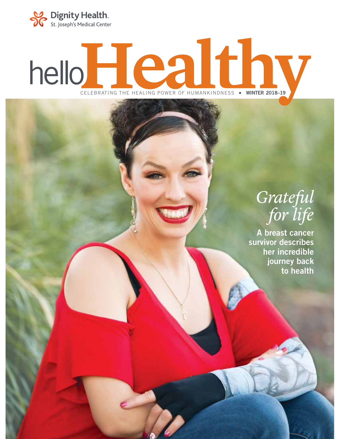

# helloHealthy CELEBRATING THE HEALING POWER OF HUMANKINDNESS **WINTER 2018–19**

### *Grateful for life*

**A breast cancer survivor describes her incredible journey back to health**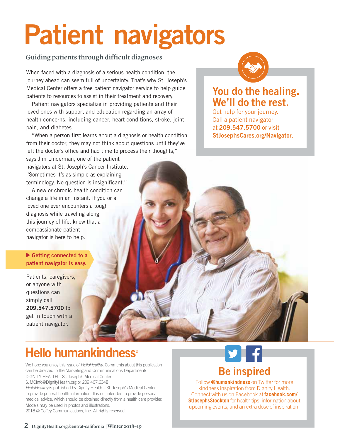# **Patient navigators**

### Guiding patients through difficult diagnoses

When faced with a diagnosis of a serious health condition, the journey ahead can seem full of uncertainty. That's why St. Joseph's Medical Center offers a free patient navigator service to help guide patients to resources to assist in their treatment and recovery.

Patient navigators specialize in providing patients and their loved ones with support and education regarding an array of health concerns, including cancer, heart conditions, stroke, joint pain, and diabetes.

"When a person first learns about a diagnosis or health condition from their doctor, they may not think about questions until they've left the doctor's office and had time to process their thoughts,"

says Jim Linderman, one of the patient navigators at St. Joseph's Cancer Institute. "Sometimes it's as simple as explaining terminology. No question is insignificant."

A new or chronic health condition can change a life in an instant. If you or a loved one ever encounters a tough diagnosis while traveling along this journey of life, know that a compassionate patient navigator is here to help.

### **Getting connected to a patient navigator is easy.**

Patients, caregivers, or anyone with questions can simply call **209.547.5700** to get in touch with a patient navigator.



### **You do the healing. We'll do the rest.**

Get help for your journey. Call a patient navigator at **209.547.5700** or visit **StJosephsCares.org/Navigator**.

### Hello humankindness<sup>®</sup>

We hope you enjoy this issue of HelloHealthy. Comments about this publication can be directed to the Marketing and Communications Department: DIGNITY HEALTH – St. Joseph's Medical Center SJMCinfo@DignityHealth.org or 209.467.6348 HelloHealthy is published by Dignity Health – St. Joseph's Medical Center

to provide general health information. It is not intended to provide personal medical advice, which should be obtained directly from a health care provider. Models may be used in photos and illustrations. 2018 © Coffey Communications, Inc. All rights reserved.



### **Be inspired**

Follow **@humankindness** on Twitter for more kindness inspiration from Dignity Health. Connect with us on Facebook at **facebook.com/ StJosephsStockton** for health tips, information about upcoming events, and an extra dose of inspiration.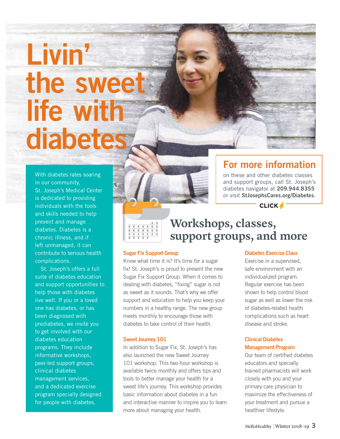# **Livin' the sweet life with diabetes**

With diabetes rates soaring in our community, St. Joseph's Medical Center is dedicated to providing individuals with the tools and skills needed to help prevent and manage diabetes. Diabetes is a chronic illness, and if left unmanaged, it can contribute to serious health complications.

St. Joseph's offers a full suite of diabetes education and support opportunities to help those with diabetes live well. If you or a loved one has diabetes, or has been diagnosed with prediabetes, we invite you to get involved with our diabetes education programs. They include informative workshops, peer-led support groups, clinical diabetes management services, and a dedicated exercise program specially designed for people with diabetes.



### **For more information**

on these and other diabetes classes and support groups, call St. Joseph's diabetes navigator at **209.944.8355** or visit **StJosephsCares.org/Diabetes**.

**CLICK /** 



### **Workshops, classes, support groups, and more**

#### **Sugar Fix Support Group**

Know what time it is? It's time for a sugar fix! St. Joseph's is proud to present the new Sugar Fix Support Group. When it comes to dealing with diabetes, "fixing" sugar is not as sweet as it sounds. That's why we offer support and education to help you keep your numbers in a healthy range. The new group meets monthly to encourage those with diabetes to take control of their health.

#### **Sweet Journey 101**

In addition to Sugar Fix, St. Joseph's has also launched the new Sweet Journey 101 workshop. This two-hour workshop is available twice monthly and offers tips and tools to better manage your health for a sweet life's journey. This workshop provides basic information about diabetes in a fun and interactive manner to inspire you to learn more about managing your health.

#### **Diabetes Exercise Class**

Exercise in a supervised, safe environment with an individualized program. Regular exercise has been shown to help control blood sugar as well as lower the risk of diabetes-related health complications such as heart disease and stroke.

### **Clinical Diabetes Management Program**

Our team of certified diabetes educators and specially trained pharmacists will work closely with you and your primary care physician to maximize the effectiveness of your treatment and pursue a healthier lifestyle.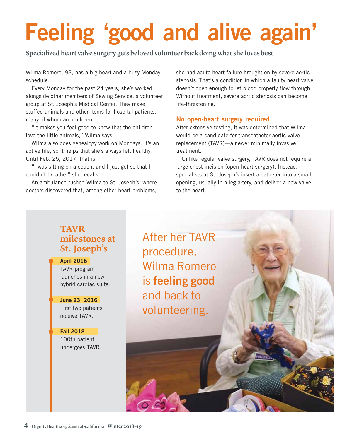## **Feeling 'good and alive again'**

Specialized heart valve surgery gets beloved volunteer back doing what she loves best

Wilma Romero, 93, has a big heart and a busy Monday schedule.

Every Monday for the past 24 years, she's worked alongside other members of Sewing Service, a volunteer group at St. Joseph's Medical Center. They make stuffed animals and other items for hospital patients, many of whom are children.

"It makes you feel good to know that the children love the little animals," Wilma says.

Wilma also does genealogy work on Mondays. It's an active life, so it helps that she's always felt healthy. Until Feb. 25, 2017, that is.

"I was sitting on a couch, and I just got so that I couldn't breathe," she recalls.

An ambulance rushed Wilma to St. Joseph's, where doctors discovered that, among other heart problems,

she had acute heart failure brought on by severe aortic stenosis. That's a condition in which a faulty heart valve doesn't open enough to let blood properly flow through. Without treatment, severe aortic stenosis can become life-threatening.

### **No open-heart surgery required**

After extensive testing, it was determined that Wilma would be a candidate for transcatheter aortic valve replacement (TAVR)—a newer minimally invasive treatment.

Unlike regular valve surgery, TAVR does not require a large chest incision (open-heart surgery). Instead, specialists at St. Joseph's insert a catheter into a small opening, usually in a leg artery, and deliver a new valve to the heart.

### **TAVR milestones at St. Joseph's**

**April 2016** TAVR program launches in a new hybrid cardiac suite.

**June 23, 2016** First two patients receive TAVR.

**Fall 2018** 100th patient undergoes TAVR.

After her TAVR procedure, Wilma Romero is **feeling good** and back to volunteering.

**4** DignityHealth.org/central-california | Winter 2018–19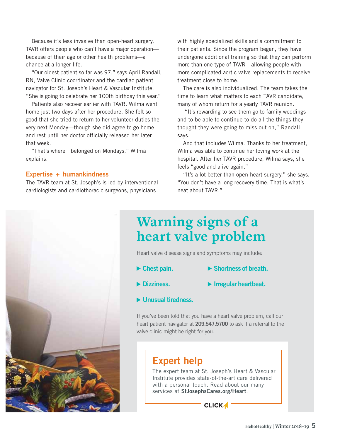Because it's less invasive than open-heart surgery, TAVR offers people who can't have a major operation because of their age or other health problems—a chance at a longer life.

"Our oldest patient so far was 97," says April Randall, RN, Valve Clinic coordinator and the cardiac patient navigator for St. Joseph's Heart & Vascular Institute. "She is going to celebrate her 100th birthday this year."

Patients also recover earlier with TAVR. Wilma went home just two days after her procedure. She felt so good that she tried to return to her volunteer duties the very next Monday—though she did agree to go home and rest until her doctor officially released her later that week.

"That's where I belonged on Mondays," Wilma explains.

#### **Expertise + humankindness**

The TAVR team at St. Joseph's is led by interventional cardiologists and cardiothoracic surgeons, physicians

with highly specialized skills and a commitment to their patients. Since the program began, they have undergone additional training so that they can perform more than one type of TAVR—allowing people with more complicated aortic valve replacements to receive treatment close to home.

The care is also individualized. The team takes the time to learn what matters to each TAVR candidate, many of whom return for a yearly TAVR reunion.

 "It's rewarding to see them go to family weddings and to be able to continue to do all the things they thought they were going to miss out on," Randall says.

And that includes Wilma. Thanks to her treatment, Wilma was able to continue her loving work at the hospital. After her TAVR procedure, Wilma says, she feels "good and alive again."

"It's a lot better than open-heart surgery," she says. "You don't have a long recovery time. That is what's neat about TAVR."

### **Warning signs of a heart valve problem**

Heart valve disease signs and symptoms may include:

- **Chest pain. Shortness of breath.**
- **Dizziness. Irregular heartbeat.**
- **Unusual tiredness.**

If you've been told that you have a heart valve problem, call our heart patient navigator at **209.547.5700** to ask if a referral to the valve clinic might be right for you.

### **Expert help**

The expert team at St. Joseph's Heart & Vascular Institute provides state-of-the-art care delivered with a personal touch. Read about our many services at **StJosephsCares.org/Heart**.

**CLICK** 



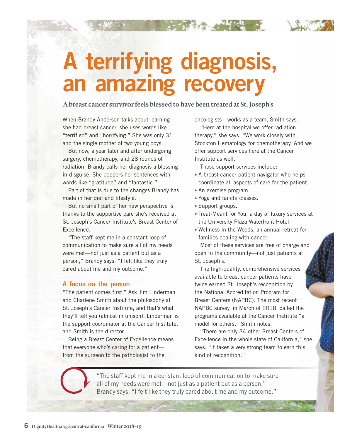

### **A terrifying diagnosis, an amazing recovery**

A breast cancer survivor feels blessed to have been treated at St. Joseph's

When Brandy Anderson talks about learning she had breast cancer, she uses words like "terrified" and "horrifying." She was only 31 and the single mother of two young boys.

But now, a year later and after undergoing surgery, chemotherapy, and 28 rounds of radiation, Brandy calls her diagnosis a blessing in disguise. She peppers her sentences with words like "gratitude" and "fantastic."

Part of that is due to the changes Brandy has made in her diet and lifestyle.

But no small part of her new perspective is thanks to the supportive care she's received at St. Joseph's Cancer Institute's Breast Center of Excellence.

"The staff kept me in a constant loop of communication to make sure all of my needs were met—not just as a patient but as a person," Brandy says. "I felt like they truly cared about me and my outcome."

### **A focus on the person**

"The patient comes first." Ask Jim Linderman and Charlene Smith about the philosophy at St. Joseph's Cancer Institute, and that's what they'll tell you (almost in unison). Linderman is the support coordinator at the Cancer Institute, and Smith is the director.

Being a Breast Center of Excellence means that everyone who's caring for a patient from the surgeon to the pathologist to the

oncologists—works as a team, Smith says.

"Here at the hospital we offer radiation therapy," she says. "We work closely with Stockton Hematology for chemotherapy. And we offer support services here at the Cancer Institute as well."

Those support services include:

- A breast cancer patient navigator who helps coordinate all aspects of care for the patient. lps<br>ient.<br>ces for
- An exercise program.
- Yoga and tai chi classes.
- Support groups.
- Treat-Meant for You, a day of luxury services at the University Plaza Waterfront Hotel.
- Wellness in the Woods, an annual retreat for families dealing with cancer.

Most of these services are free of charge and open to the community—not just patients at St. Joseph's.

The high-quality, comprehensive services available to breast cancer patients have twice earned St. Joseph's recognition by the National Accreditation Program for Breast Centers (NAPBC). The most recent NAPBC survey, in March of 2018, called the programs available at the Cancer Institute "a model for others," Smith notes.

"There are only 34 other Breast Centers of Excellence in the whole state of California," she Excellence in the whole state of California," s<br>says. "It takes a very strong team to earn this kind of recognition."

"The staff kept me in a constant loop of communication to make sure all of my needs were met—not just as a patient but as a person," Brandy says. "I felt like they truly cared about me and my outcome."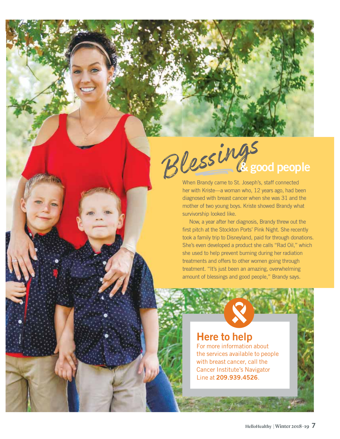### Blessings **& good people**

When Brandy came to St. Joseph's, staff connected her with Kriste—a woman who, 12 years ago, had been diagnosed with breast cancer when she was 31 and the mother of two young boys. Kriste showed Brandy what survivorship looked like.

Now, a year after her diagnosis, Brandy threw out the first pitch at the Stockton Ports' Pink Night. She recently took a family trip to Disneyland, paid for through donations. She's even developed a product she calls "Rad Oil," which she used to help prevent burning during her radiation treatments and offers to other women going through treatment. "It's just been an amazing, overwhelming amount of blessings and good people," Brandy says.

### **Here to help**

For more information about the services available to people with breast cancer, call the Cancer Institute's Navigator Line at **209.939.4526**.